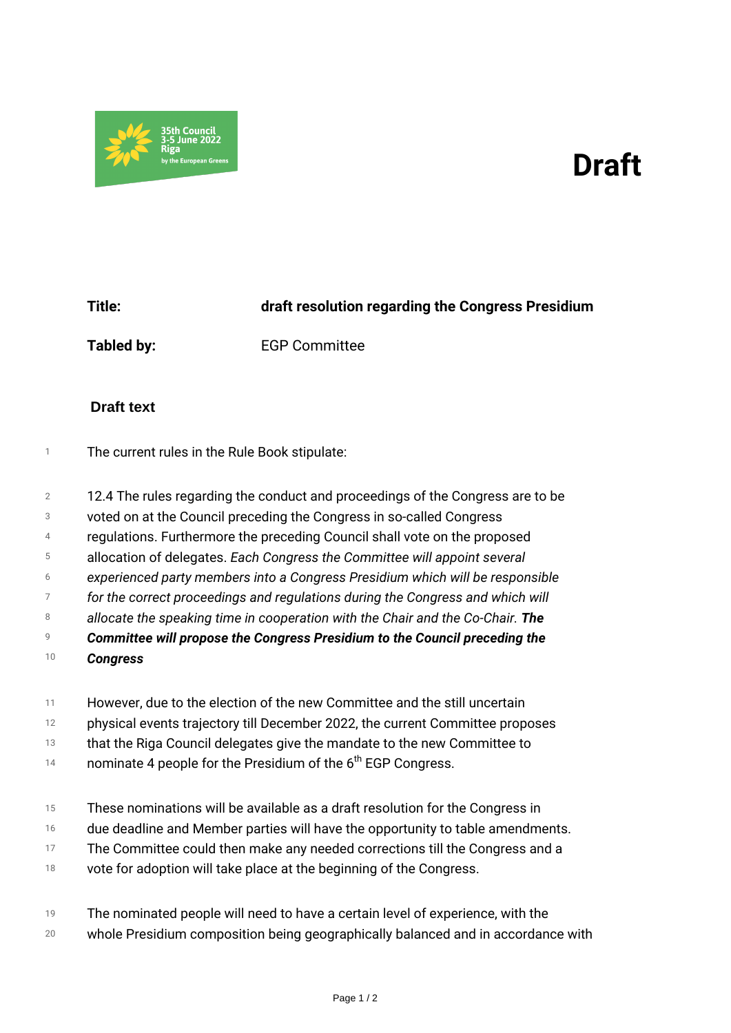## *Draft*



*Title: draft resolution regarding the Congress Presidium Tabled by: EGP Committee*

## **Draft text**

- *<sup>1</sup> The current rules in the Rule Book stipulate:*
- *2 12.4 The rules regarding the conduct and proceedings of the Congress are to be*
- *3 voted on at the Council preceding the Congress in so-called Congress*
- *4 regulations. Furthermore the preceding Council shall vote on the proposed*
- *5 allocation of delegates. Each Congress the Committee will appoint several*
- *6 experienced party members into a Congress Presidium which will be responsible*
- *7* for the correct proceedings and regulations during the Congress and which will
- *8 allocate the speaking time in cooperation with the Chair and the Co-Chair. The*
- *9 Committee will propose the Congress Presidium to the Council preceding the*
- *10 Congress*
- *11 However, due to the election of the new Committee and the still uncertain*
- *12 physical events trajectory till December 2022, the current Committee proposes*
- *13 that the Riga Council delegates give the mandate to the new Committee to*
- *14 nominate 4 people for the Presidium of the 6th EGP Congress.*
- *15 These nominations will be available as a draft resolution for the Congress in*
- *16 due deadline and Member parties will have the opportunity to table amendments.*
- *17 The Committee could then make any needed corrections till the Congress and a*
- *18 vote for adoption will take place at the beginning of the Congress.*
- *19 The nominated people will need to have a certain level of experience, with the*
- *20 whole Presidium composition being geographically balanced and in accordance with*